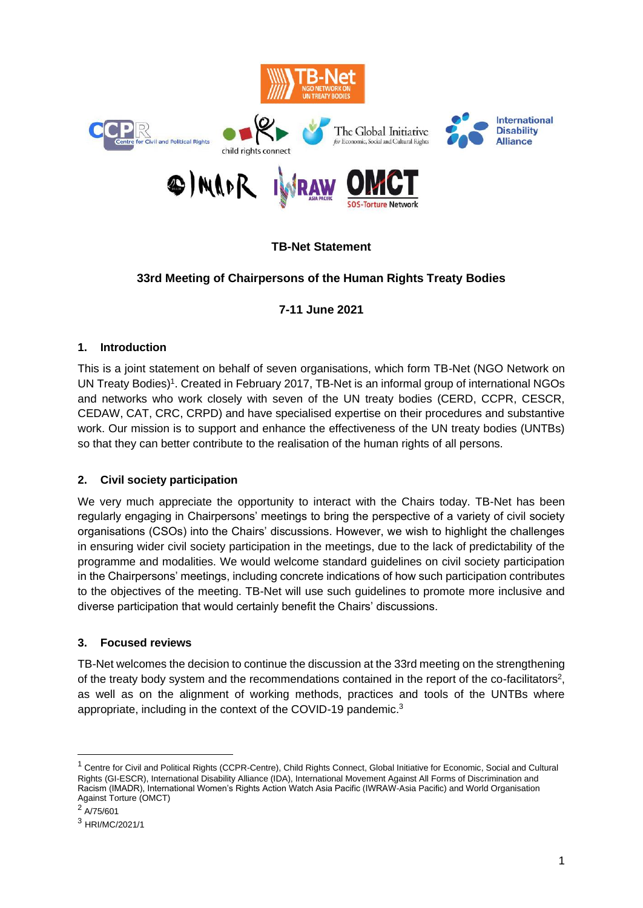

# **TB-Net Statement**

# **33rd Meeting of Chairpersons of the Human Rights Treaty Bodies**

## **7-11 June 2021**

### **1. Introduction**

This is a joint statement on behalf of seven organisations, which form TB-Net (NGO Network on UN Treaty Bodies)<sup>1</sup>. Created in February 2017, TB-Net is an informal group of international NGOs and networks who work closely with seven of the UN treaty bodies (CERD, CCPR, CESCR, CEDAW, CAT, CRC, CRPD) and have specialised expertise on their procedures and substantive work. Our mission is to support and enhance the effectiveness of the UN treaty bodies (UNTBs) so that they can better contribute to the realisation of the human rights of all persons.

### **2. Civil society participation**

We very much appreciate the opportunity to interact with the Chairs today. TB-Net has been regularly engaging in Chairpersons' meetings to bring the perspective of a variety of civil society organisations (CSOs) into the Chairs' discussions. However, we wish to highlight the challenges in ensuring wider civil society participation in the meetings, due to the lack of predictability of the programme and modalities. We would welcome standard guidelines on civil society participation in the Chairpersons' meetings, including concrete indications of how such participation contributes to the objectives of the meeting. TB-Net will use such guidelines to promote more inclusive and diverse participation that would certainly benefit the Chairs' discussions.

### **3. Focused reviews**

TB-Net welcomes the decision to continue the discussion at the 33rd meeting on the strengthening of the treaty body system and the recommendations contained in the report of the co-facilitators<sup>2</sup>, as well as on the alignment of working methods, practices and tools of the UNTBs where appropriate, including in the context of the COVID-19 pandemic.<sup>3</sup>

 $2$  A/75/601

<sup>&</sup>lt;sup>1</sup> Centre for Civil and Political Rights (CCPR-Centre), Child Rights Connect, Global Initiative for Economic, Social and Cultural Rights (GI-ESCR), International Disability Alliance (IDA), International Movement Against All Forms of Discrimination and Racism (IMADR), International Women's Rights Action Watch Asia Pacific (IWRAW-Asia Pacific) and World Organisation Against Torture (OMCT)

<sup>3</sup> HRI/MC/2021/1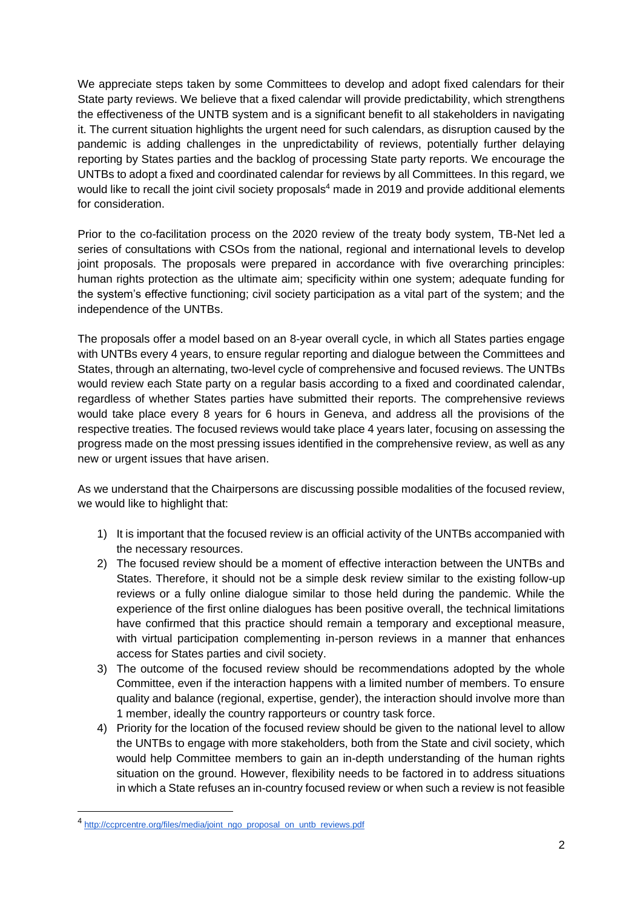We appreciate steps taken by some Committees to develop and adopt fixed calendars for their State party reviews. We believe that a fixed calendar will provide predictability, which strengthens the effectiveness of the UNTB system and is a significant benefit to all stakeholders in navigating it. The current situation highlights the urgent need for such calendars, as disruption caused by the pandemic is adding challenges in the unpredictability of reviews, potentially further delaying reporting by States parties and the backlog of processing State party reports. We encourage the UNTBs to adopt a fixed and coordinated calendar for reviews by all Committees. In this regard, we would like to recall the joint civil society proposals<sup>4</sup> made in 2019 and provide additional elements for consideration.

Prior to the co-facilitation process on the 2020 review of the treaty body system, TB-Net led a series of consultations with CSOs from the national, regional and international levels to develop joint proposals. The proposals were prepared in accordance with five overarching principles: human rights protection as the ultimate aim; specificity within one system; adequate funding for the system's effective functioning; civil society participation as a vital part of the system; and the independence of the UNTBs.

The proposals offer a model based on an 8-year overall cycle, in which all States parties engage with UNTBs every 4 years, to ensure regular reporting and dialogue between the Committees and States, through an alternating, two-level cycle of comprehensive and focused reviews. The UNTBs would review each State party on a regular basis according to a fixed and coordinated calendar, regardless of whether States parties have submitted their reports. The comprehensive reviews would take place every 8 years for 6 hours in Geneva, and address all the provisions of the respective treaties. The focused reviews would take place 4 years later, focusing on assessing the progress made on the most pressing issues identified in the comprehensive review, as well as any new or urgent issues that have arisen.

As we understand that the Chairpersons are discussing possible modalities of the focused review, we would like to highlight that:

- 1) It is important that the focused review is an official activity of the UNTBs accompanied with the necessary resources.
- 2) The focused review should be a moment of effective interaction between the UNTBs and States. Therefore, it should not be a simple desk review similar to the existing follow-up reviews or a fully online dialogue similar to those held during the pandemic. While the experience of the first online dialogues has been positive overall, the technical limitations have confirmed that this practice should remain a temporary and exceptional measure, with virtual participation complementing in-person reviews in a manner that enhances access for States parties and civil society.
- 3) The outcome of the focused review should be recommendations adopted by the whole Committee, even if the interaction happens with a limited number of members. To ensure quality and balance (regional, expertise, gender), the interaction should involve more than 1 member, ideally the country rapporteurs or country task force.
- 4) Priority for the location of the focused review should be given to the national level to allow the UNTBs to engage with more stakeholders, both from the State and civil society, which would help Committee members to gain an in-depth understanding of the human rights situation on the ground. However, flexibility needs to be factored in to address situations in which a State refuses an in-country focused review or when such a review is not feasible

<sup>4</sup> [http://ccprcentre.org/files/media/joint\\_ngo\\_proposal\\_on\\_untb\\_reviews.pdf](http://ccprcentre.org/files/media/joint_ngo_proposal_on_untb_reviews.pdf)